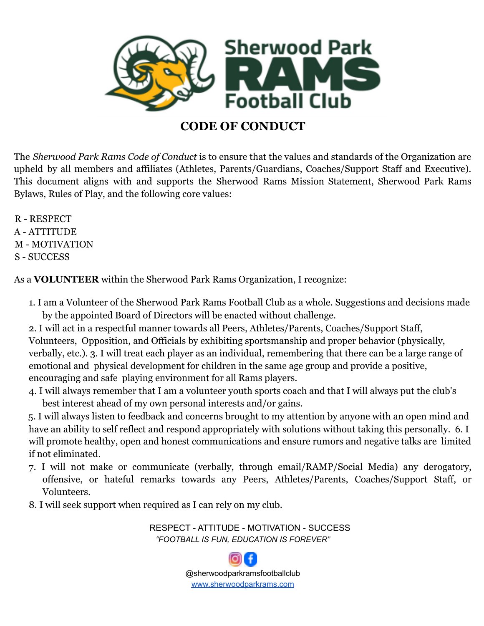

## **CODE OF CONDUCT**

The *Sherwood Park Rams Code of Conduct* is to ensure that the values and standards of the Organization are upheld by all members and affiliates (Athletes, Parents/Guardians, Coaches/Support Staff and Executive). This document aligns with and supports the Sherwood Rams Mission Statement, Sherwood Park Rams Bylaws, Rules of Play, and the following core values:

R - RESPECT A - ATTITUDE M - MOTIVATION S - SUCCESS

As a **VOLUNTEER** within the Sherwood Park Rams Organization, I recognize:

- 1. I am a Volunteer of the Sherwood Park Rams Football Club as a whole. Suggestions and decisions made by the appointed Board of Directors will be enacted without challenge.
- 2. I will act in a respectful manner towards all Peers, Athletes/Parents, Coaches/Support Staff, Volunteers, Opposition, and Officials by exhibiting sportsmanship and proper behavior (physically, verbally, etc.). 3. I will treat each player as an individual, remembering that there can be a large range of emotional and physical development for children in the same age group and provide a positive, encouraging and safe playing environment for all Rams players.
- 4. I will always remember that I am a volunteer youth sports coach and that I will always put the club's best interest ahead of my own personal interests and/or gains.

5. I will always listen to feedback and concerns brought to my attention by anyone with an open mind and have an ability to self reflect and respond appropriately with solutions without taking this personally. 6. I will promote healthy, open and honest communications and ensure rumors and negative talks are limited if not eliminated.

- 7. I will not make or communicate (verbally, through email/RAMP/Social Media) any derogatory, offensive, or hateful remarks towards any Peers, Athletes/Parents, Coaches/Support Staff, or Volunteers.
- 8. I will seek support when required as I can rely on my club.

RESPECT - ATTITUDE - MOTIVATION - SUCCESS *"FOOTBALL IS FUN, EDUCATION IS FOREVER"*